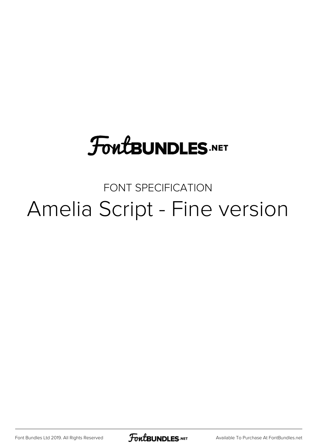## **FoutBUNDLES.NET**

FONT SPECIFICATION Amelia Script - Fine version

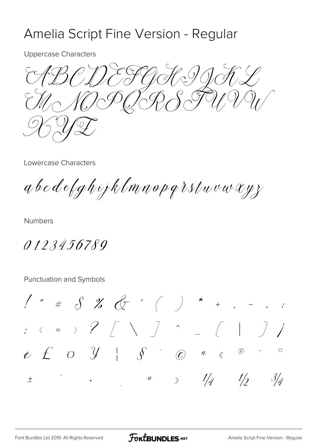## Amelia Script Fine Version - Regular

Uppercase Characters

*ABCDEFGHIJKL MNOPQRSTUVW XYZ*

Lowercase Characters

*abcdefghijklmnopqrstuvwxyz*

Numbers

*0123456789*

Punctuation and Symbols

*! " # \$ % & ' ( ) \* + , - . : ; < = > ? [ \ ] ^ \_ { | } ¡ ¢ £ ¤ ¥ ¦ § ¨ © ª « ® ¯ °*  $\pm$  *i*  $\cdot$   $\cdot$   $\cdot$   $\cdot$   $\cdot$   $\cdot$   $\cdot$   $\frac{1}{4}$   $\cdot$   $\frac{1}{2}$   $\cdot$   $\frac{3}{4}$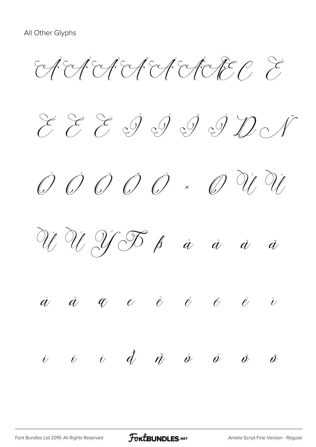*À Á Â Ã Ä ÅÆ Ç È*

*É Ê Ë Ì Í Î Ï Ð Ñ*

*Ò Ó Ô Õ Ö × Ø Ù Ú*



*ä å æ ç è é ê ë ì*

*í î ï ð ñ ò ó ô õ*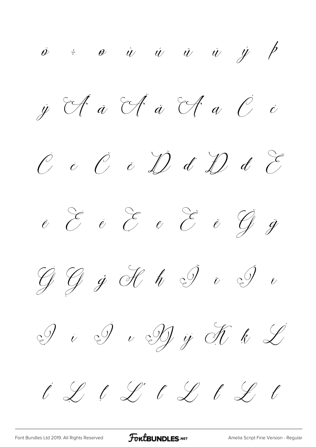*ö ÷ ø ù ú û ü ý þ ÿ Ā ā Ă ă Ą ą Ć ć Ċ ċ Č č Ď ď Đ đ Ē ē Ė ė Ę ę Ě ě Ğ ğ Ġ Ģ ģ Ħ ħ Ĩ ĩ Ī ī Į į İ ı IJ ij Ķ ķ Ĺ ĺ Ļ ļ Ľ ľ Ŀ ŀ Ł ł*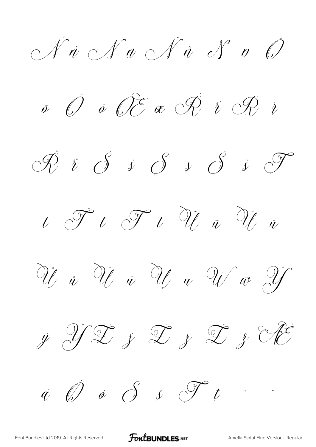*Ń ń Ņ ņ Ň ň Ŋ ŋ Ō*

*ō Ő ő Œ œ Ŕ ŕ Ŗ ŗ*

*Ř ř Ś ś Ş ş Š š Ţ*

*ţ Ť ť Ŧ ŧ Ũ ũ Ū ū*

*Ů ů Ű ű Ų ų Ŵ ŵ Ŷ*

*ŷ Ÿ Ź ź Ż ż Ž ž Ǽ*

*ǽ Ǿ ǿ Ș ș Ț ț ˆ ˇ*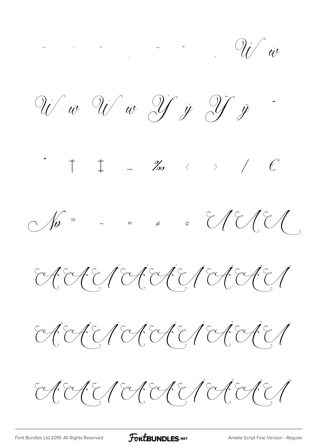*˘ ˙ ˚ ˛ ˜ ˝ ̦ Ẁ ẁ*

*Ẃ ẃ Ẅ ẅ Ỳ ỳ Ỹ ỹ "*

*" † ‡ … ‰ ‹ › ⁄ €*

*№ ™ − ≈ ≠ ◊*

ACACACACACACA

Actesotesestes

ACACACACACACA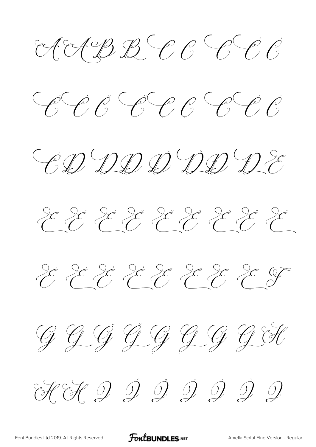ACABBCCCCC

CÉCECECECE

CDDDD DDD DE



 $z$  and  $z$  and  $z$  and



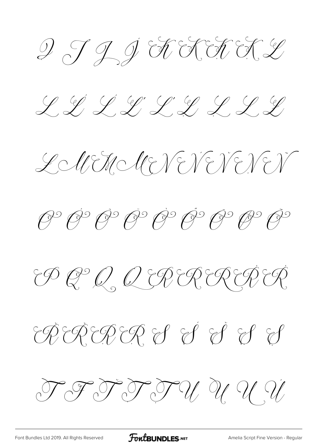I J J J H H H A L

 $LL2L2L2L2L2$ 

LARMARNEVENET

 $\mathscr{O}^{\circ}\mathscr{O}^{\circ}\mathscr{O}^{\circ}\mathscr{O}^{\circ}\mathscr{O}^{\circ}\mathscr{O}^{\circ}\mathscr{O}^{\circ}\mathscr{O}^{\circ}\mathscr{O}^{\circ}$ 

DE Q Q Q CHERERER

EDERED S S S

TFFFFWU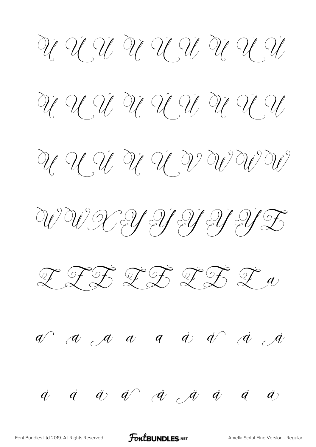Verien de la Grande Verilie de la Soul  $\partial_{\ell} Q \hat{U} \hat{U} Q \hat{U} Q \hat{U} Q \hat{U} Q \hat{U} Q \hat{U}$ X V V V V V V T I TF TF TF T I  $\begin{array}{ccccccccc} q & q & \mathcal{A} & d & \mathcal{A} & d & \mathcal{A} & d \end{array}$  $\dot{q}$   $\ddot{q}$   $\ddot{q}$   $\ddot{q}$   $\ddot{q}$   $\ddot{q}$   $\ddot{q}$   $\ddot{q}$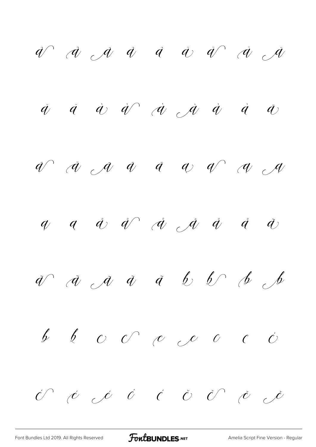$\dot{q}$   $\dot{q}$   $\dot{q}$   $\dot{q}$   $\dot{q}$   $\dot{q}$   $\dot{q}$   $\dot{q}$   $\dot{q}$  $\begin{array}{ccccc} \bar{q} & \bar{q} & \bar{q} & \bar{q} & \bar{q} & \bar{q} & \bar{q} & \bar{q} & \bar{q} \end{array}$  $q$   $\dot{q}$   $\dot{q}$   $\dot{q}$   $\dot{q}$   $\dot{q}$   $\dot{q}$   $\ddot{q}$   $\ddot{q}$  $\tilde{q}$   $\tilde{q}$   $\tilde{q}$   $\tilde{q}$   $\tilde{q}$   $\tilde{q}$   $\tilde{q}$   $\tilde{q}$   $\tilde{q}$   $\tilde{q}$  $b$   $c$   $c$   $c$   $c$   $c$   $c$   $c$   $c$  $\begin{array}{ccccccccccccc} \hat{C} & \hat{C} & \hat{C} & \hat{C} & \hat{C} & \hat{C} & \hat{C} & \hat{C} & \hat{C} & \hat{C} & \hat{C} & \hat{C} & \hat{C} & \hat{C} & \hat{C} & \hat{C} & \hat{C} & \hat{C} & \hat{C} & \hat{C} & \hat{C} & \hat{C} & \hat{C} & \hat{C} & \hat{C} & \hat{C} & \hat{C} & \hat{C} & \hat{C} & \hat{C} & \hat{C} & \hat{C} & \hat{C} & \hat{C} & \hat{C} &$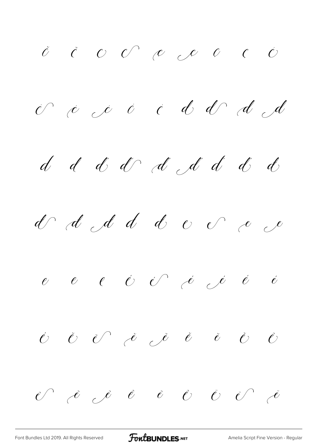$\begin{array}{cccccccccccccc} \check{C} & \check{C} & \check{C} & \check{C} & \check{C} & \check{C} & \check{C} & \check{C} & \check{C} & \check{C} & \end{array}$  $\begin{array}{cccccccccc} \mathcal{O} & \mathcal{O} & \mathcal{O} & \mathcal{O} & \mathcal{O} & \mathcal{O} & \mathcal{O} & \mathcal{O} & \mathcal{O} & \mathcal{O} & \mathcal{O} & \mathcal{O} & \mathcal{O} & \mathcal{O} & \mathcal{O} & \mathcal{O} & \mathcal{O} & \mathcal{O} & \mathcal{O} & \mathcal{O} & \mathcal{O} & \mathcal{O} & \mathcal{O} & \mathcal{O} & \mathcal{O} & \mathcal{O} & \mathcal{O} & \mathcal{O} & \mathcal{O} & \mathcal{O} & \$  $d$  d d' d' d' d' d' d d d d d d  $e$  d  $e$  $e$   $e$   $e$   $\acute{e}$   $\acute{e}$   $\acute{e}$   $\acute{e}$   $\acute{e}$   $\acute{e}$   $\acute{e}$  $\begin{array}{ccccccccccccc} \acute{C} & \acute{C} & \acute{C} & \acute{C} & \acute{C} & \acute{C} & \acute{C} & \acute{C} & \acute{C} & \acute{C} & \end{array}$  $\hat{e}$   $\hat{e}$   $\hat{e}$   $\hat{e}$   $\hat{e}$   $\hat{e}$   $\hat{e}$   $\hat{e}$   $\hat{e}$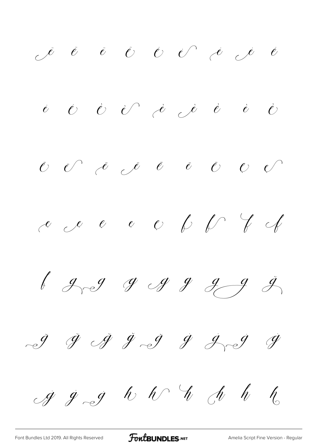$\overline{\mathscr{I}}$   $\overline{\mathscr{C}}$   $\overline{\mathscr{C}}$   $\overline{\mathscr{C}}$   $\overline{\mathscr{C}}$   $\overline{\mathscr{C}}$   $\overline{\mathscr{C}}$   $\overline{\mathscr{C}}$  $\begin{array}{ccccccccccccc} \dot{e} & \dot{e} & \dot{e} & \dot{e} & \dot{e} & \dot{e} & \dot{e} & \dot{e} & \dot{e} & \dot{e} & \dot{e} & \dot{e} & \dot{e} & \dot{e} & \dot{e} & \dot{e} & \dot{e} & \dot{e} & \dot{e} & \dot{e} & \dot{e} & \dot{e} & \dot{e} & \dot{e} & \dot{e} & \dot{e} & \dot{e} & \dot{e} & \dot{e} & \dot{e} & \dot{e} & \dot{e} & \dot{e} & \dot{e} & \dot{e} &$  $\begin{array}{cccccccccccccc} \vline & \vline & & & \vline & & & \vline & & & \vline & & & \vline & & & \vline & & & \vline & & & \vline & & & & \vline & & & & \vline & & & & \vline & & & & \vline & & & & \vline & & & & \vline & & & & \vline & & & & \vline & & & & \vline & & & & \vline & & & & \vline & & & & \vline & & & & \vline & & & & \vline & & & & \vline & & & & \vline & & & & \vline & & & & \vline & & & & \vline & & & & \vline & & & & \vline & & & & \vline & & & & & \v$ ce ce ce b b & d 6 g g g g g g g g  $\mathcal{J}$   $\check{g}$   $\check{g}$   $\check{g}$   $\check{g}$   $\check{g}$   $\mathcal{J}$   $\mathcal{J}$   $\check{g}$  $g$  g g h h h h h h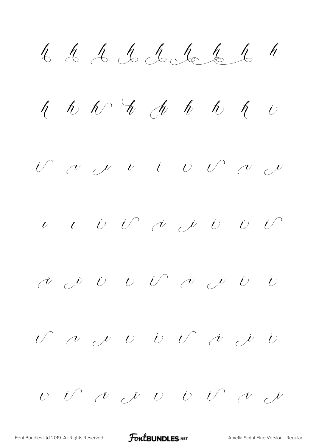$44444444444$  $h$   $h$   $h$   $h$   $dh$   $h$   $h$   $h$   $v$  $\begin{array}{ccccccccccccc} \nu & \alpha & \nu & \nu & \iota & \nu & \nu & \alpha & \nu \end{array}$  $\begin{array}{ccccccccccccc} \nu & \iota & \dot{\nu} & \dot{\nu} & \dot{\alpha} & \dot{\alpha} & \dot{\omega} & \dot{\omega} & \dot{\omega} & \dot{\omega} & \dot{\omega} & \dot{\omega} & \dot{\omega} & \dot{\omega} & \dot{\omega} & \dot{\omega} & \dot{\omega} & \dot{\omega} & \dot{\omega} & \dot{\omega} & \dot{\omega} & \dot{\omega} & \dot{\omega} & \dot{\omega} & \dot{\omega} & \dot{\omega} & \dot{\omega} & \dot{\omega} & \dot{\omega} & \dot{\omega} & \dot{\omega} & \dot{\omega} & \dot{\omega} & \dot{\omega} & \dot{\omega} & \dot{\omega}$  $\overline{\partial}$   $\overline{\partial}$   $\overline{\partial}$   $\overline{\partial}$   $\overline{\partial}$   $\overline{\partial}$   $\overline{\partial}$   $\overline{\partial}$   $\overline{\partial}$   $\overline{\partial}$   $\overline{\partial}$   $\overline{\partial}$  $\begin{array}{ccccccccc} \nu & \alpha & \nu & \nu & \nu & \nu & \alpha & \nu & \nu \end{array}$  $U \begin{array}{ccccccccc} U & \tilde{U} & \tilde{U} & \tilde{U} & \tilde{U} & \tilde{U} & \tilde{U} & \tilde{U} & \tilde{U} & \tilde{U} & \tilde{U} & \tilde{U} & \tilde{U} & \tilde{U} & \tilde{U} & \tilde{U} & \tilde{U} & \tilde{U} & \tilde{U} & \tilde{U} & \tilde{U} & \tilde{U} & \tilde{U} & \tilde{U} & \tilde{U} & \tilde{U} & \tilde{U} & \tilde{U} & \tilde{U} & \tilde{U} & \tilde{U$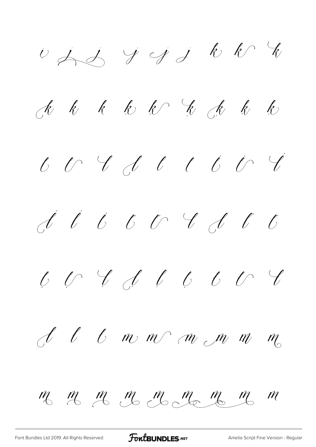$\omega$  for  $j$  of  $j$  be the  $k$ & k k k k k k k 6041116664 J V G G U J J V G 6 6 7 8 6 6 6 7  $d$   $b$   $c$   $m$   $m$   $m$   $m$   $m$  $m \ll m \ll m \ll m \ll m \ll m$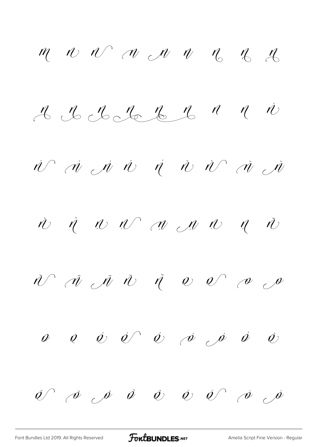$M \quad M \quad M \quad M \quad M \quad M \quad M \quad M$  Ń *Ň Ň* Ň Ý Ň Ň *Ň*  $\check{\mathscr{U}}$   $\check{\mathscr{U}}$   $\mathscr{W}$   $\mathscr{W}$   $\mathscr{W}$   $\mathscr{W}$   $\mathscr{W}$   $\check{\mathscr{W}}$  $\tilde{M}$   $\tilde{M}$   $\tilde{M}$   $\tilde{M}$   $\tilde{M}$   $Q$   $Q'$   $Q'$   $Q$  $\begin{array}{ccccccccccccc} \mathbf{0} & \mathbf{0} & \mathbf{0} & \mathbf{0} & \mathbf{0} & \mathbf{0} & \mathbf{0} & \mathbf{0} & \mathbf{0} & \mathbf{0} & \mathbf{0} & \mathbf{0} & \mathbf{0} & \mathbf{0} & \mathbf{0} & \mathbf{0} & \mathbf{0} & \mathbf{0} & \mathbf{0} & \mathbf{0} & \mathbf{0} & \mathbf{0} & \mathbf{0} & \mathbf{0} & \mathbf{0} & \mathbf{0} & \mathbf{0} & \mathbf{0} & \mathbf{0} & \mathbf{0} &$  $\hat{\mathscr{Q}}$   $\hat{\mathscr{Q}}$   $\hat{\mathscr{Q}}$   $\hat{\mathscr{Q}}$   $\hat{\mathscr{Q}}$   $\hat{\mathscr{Q}}$   $\hat{\mathscr{Q}}$   $\hat{\mathscr{Q}}$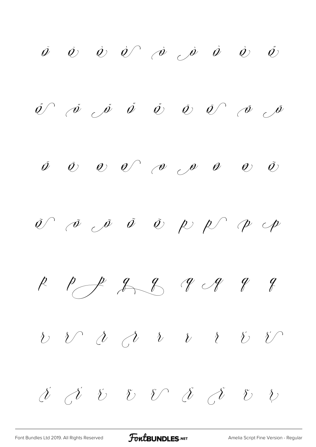$\dot{\theta}$   $\dot{\theta}$   $\dot{\theta}$   $\dot{\theta}$   $\dot{\theta}$   $\dot{\theta}$   $\dot{\theta}$   $\dot{\theta}$   $\dot{\theta}$  $\begin{array}{ccccccccc} \v{\phi} & \v{\phi} & \v{\phi} & \v{\phi} & \v{\phi} & \v{\phi} & \v{\phi} & \v{\phi} \end{array}$  $\begin{matrix} \bar{\mathcal{Q}} & \bar{\mathcal{Q}} & \mathcal{Q} & \mathcal{Q} \end{matrix} \quad \begin{matrix} \mathcal{Q} & \mathcal{Q} & \mathcal{Q} & \mathcal{Q} & \mathcal{Q} & \mathcal{Q} \end{matrix} \quad \begin{matrix} \bar{\mathcal{Q}} & \mathcal{Q} & \mathcal{Q} & \mathcal{Q} & \mathcal{Q} \end{matrix}$  $\tilde{\varrho}$   $\tilde{\varrho}$   $\tilde{\varrho}$   $\tilde{\varrho}$   $\tilde{\varrho}$   $\rho$   $\rho$   $\rho$  $R$   $P$   $P$   $R$   $R$   $Q$   $Q$   $Q$   $Q$  $\begin{array}{ccccccccccccccccc} \mathcal{E} & \mathcal{E} & \mathcal{E} & \mathcal{E} & \mathcal{E} & \mathcal{E} & \mathcal{E} & \mathcal{E} & \mathcal{E} & \mathcal{E} & \mathcal{E} & \mathcal{E} & \mathcal{E} & \mathcal{E} & \mathcal{E} & \mathcal{E} & \mathcal{E} & \mathcal{E} & \mathcal{E} & \mathcal{E} & \mathcal{E} & \mathcal{E} & \mathcal{E} & \mathcal{E} & \mathcal{E} & \mathcal{E} & \mathcal{E} & \mathcal{E} & \mathcal{E} & \mathcal{E}$  $\overline{\mathscr{E}}$   $\overline{\mathscr{E}}$   $\overline{\mathscr{E}}$   $\overline{\mathscr{E}}$   $\overline{\mathscr{E}}$   $\overline{\mathscr{E}}$   $\overline{\mathscr{E}}$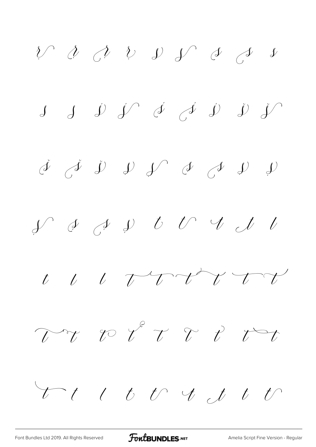$\begin{array}{cccccccccccccc} \mathcal{V} & \mathcal{A} & \mathcal{O} & \mathcal{V} & \mathcal{V} & \mathcal{S} & \mathcal{A} & \mathcal{S} & \mathcal{I} \end{array}$  $J\quad J\quad \acute{J}\quad \acute{J}\quad \acute{J}\quad \acute{J}\quad \acute{J}\quad \acute{J}\quad \acute{J}\quad \acute{J}\quad \acute{J}\quad \acute{J}\quad \acute{J}\quad \acute{J}\quad \acute{J}\quad \acute{J}\quad \acute{J}\quad \acute{J}\quad \acute{J}\quad \acute{J}\quad \acute{J}\quad \acute{J}\quad \acute{J}\quad \acute{J}\quad \acute{J}\quad \acute{J}\quad \acute{J}\quad \acute{J}\quad \acute{J}\quad \acute{J}\quad \acute{J}\quad \acute{J}\quad \acute{J}\quad \acute{J}\quad \acute{J}\quad \acute{J}\quad \acute{J}\quad \acute{J$  $\check{\mathcal{J}}$   $\check{\mathcal{J}}$   $\check{\mathcal{J}}$   $\mathcal{J}$   $\mathcal{J}$   $\mathcal{J}$   $\mathcal{J}$   $\mathcal{J}$   $\mathcal{J}$  $f$  &  $f$   $f$   $f$   $f$   $f$  $t$   $t$   $t$   $\mathcal{T}$   $\mathcal{T}$   $\mathcal{T}$   $\mathcal{T}$   $\mathcal{T}$ Trouver to the top of the top of the top of the top of the top of the top of the top of the top of the top of the top of the top of the top of the top of the top of the top of the top of the top of the top of the top of th  $\forall \tau$  to the total total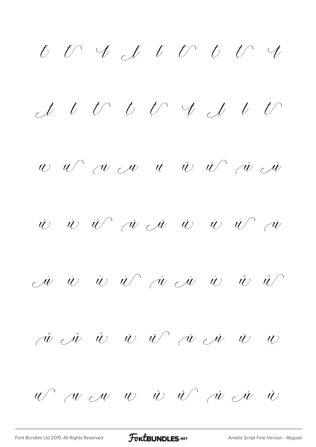ひひ む じ じ ひ ひ け せ t l t t t t y t l t  $\omega$   $\omega$   $\sim$   $\omega$   $\omega$   $\omega$   $\omega$   $\omega$   $\sim$   $\omega$  ji ji ji ji ji ji ji  $\ddot{a}$   $\ddot{a}$   $\ddot{a}$   $\ddot{a}$   $\ddot{a}$   $\ddot{a}$   $\ddot{a}$   $\ddot{a}$   $\ddot{a}$   $\ddot{a}$ u av av is is à de si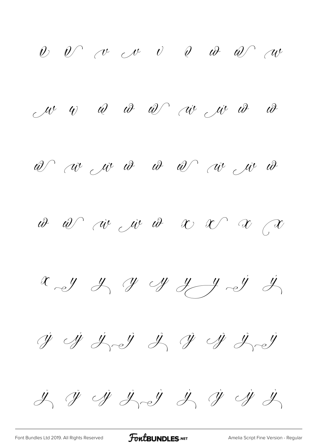$\begin{matrix} 0 & 0 \end{matrix}$  a contract  $\begin{matrix} 0 & 0 \end{matrix}$  at  $\begin{matrix} 0 & 0 \end{matrix}$  at  $\begin{matrix} 0 & 0 \end{matrix}$  $\mathcal{A}$   $\mathcal{A}$   $\mathcal{A}$   $\mathcal{A}$   $\mathcal{A}$   $\mathcal{A}$   $\mathcal{A}$   $\mathcal{A}$   $\mathcal{A}$   $\mathcal{A}$   $\mathcal{A}$ @ av av ad ad as av av ad  $\omega$   $\omega$   $\sim$   $\omega$   $\omega$   $\omega$   $\infty$   $\infty$   $\infty$ x J J J J J J J  $\dot{\mathscr{Y}}$  if  $\dot{\mathscr{Y}}$  if  $\dot{\mathscr{Y}}$  if  $\dot{\mathscr{Y}}$  if  $\dot{\mathscr{Y}}$  $\ddot{\mathcal{J}}$   $\ddot{\mathcal{J}}$   $\ddot{\mathcal{J}}$   $\ddot{\mathcal{J}}$   $\ddot{\mathcal{J}}$   $\ddot{\mathcal{J}}$   $\ddot{\mathcal{J}}$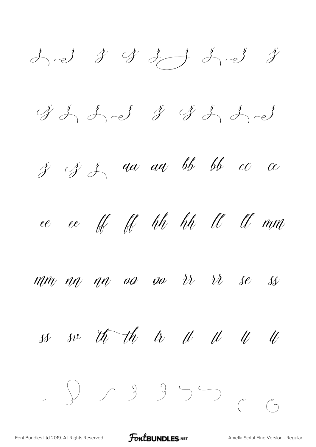3 - 3 3 3 3 3 8 8  $33338$  333333  $3$   $3$   $3$  aa aa bb bb cc cc ee ee ff ff hh hh U U mm  $m m$   $n n$   $n v$  as so  $\delta \lambda$   $\delta \lambda$  se ss is so the the te the U the U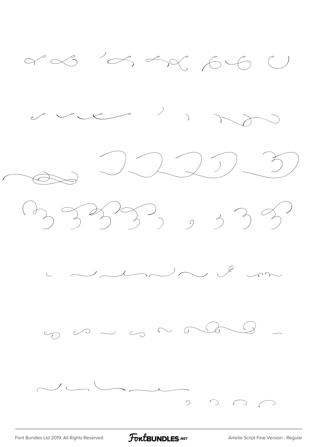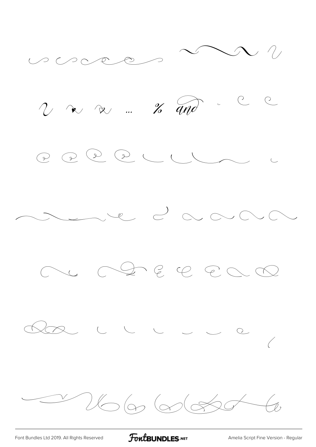![](_page_21_Figure_0.jpeg)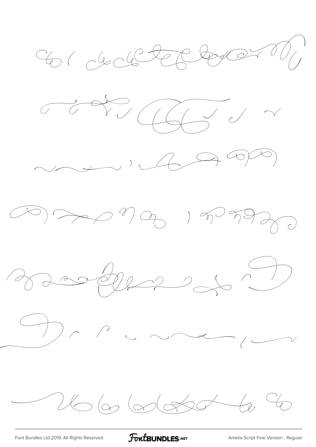![](_page_22_Picture_0.jpeg)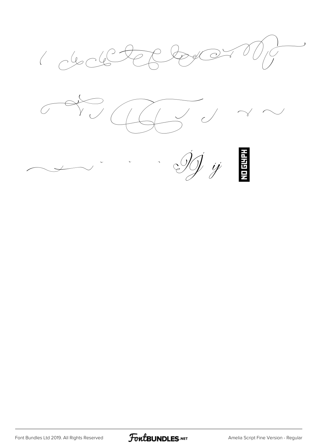![](_page_23_Figure_0.jpeg)

![](_page_23_Figure_1.jpeg)

 $\frac{1}{2}$ 

![](_page_23_Picture_4.jpeg)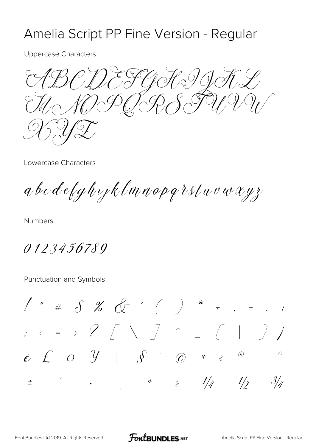## Amelia Script PP Fine Version - Regular

Uppercase Characters

*ABCDEFGHIJKL MNOPQRSTUVW XYZ*

Lowercase Characters

*abcdefghijklmnopqrstuvwxyz*

Numbers

*0123456789*

Punctuation and Symbols

*! " # \$ % & ' ( ) \* + , - . : ; < = > ? [ \ ] ^ \_ { | } ¡ ¢ £ ¤ ¥ ¦ § ¨ © ª « ® ¯ ° ± ´ · ¸ º » ¼ ½ ¾*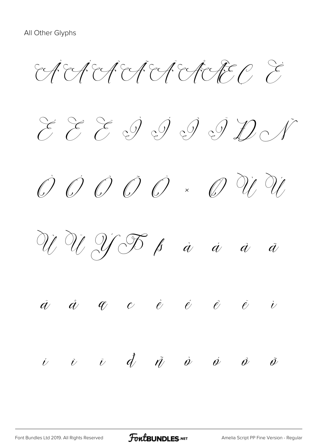*À Á Â Ã Ä ÅÆ Ç È*

*É Ê Ë Ì Í Î Ï Ð Ñ*

*Ò Ó Ô Õ Ö × Ø Ù Ú*

*Û Ü Ý Þ ß à á â ã*

*ä å æ ç è é ê ë ì í î ï ð ñ ò ó ô õ*

![](_page_25_Picture_7.jpeg)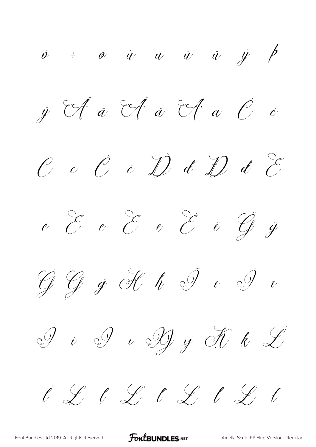*ö ÷ ø ù ú û ü ý þ ÿ Ā ā Ă ă Ą ą Ć ć Ċ ċ Č č Ď ď Đ đ Ē ē Ė ė Ę ę Ě ě Ğ ğ Ġ Ģ ģ Ħ ħ Ĩ ĩ Ī ī Į į İ ı IJ ij Ķ ķ Ĺ ĺ Ļ ļ Ľ ľ Ŀ ŀ Ł ł*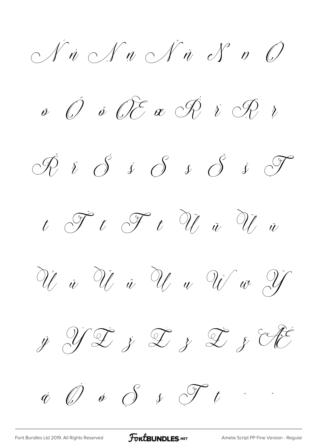*Ń ń Ņ ņ Ň ň Ŋ ŋ Ō*

*ō Ő ő Œ œ Ŕ ŕ Ŗ ŗ*

*Ř ř Ś ś Ş ş Š š Ţ*

*ţ Ť ť Ŧ ŧ Ũ ũ Ū ū*

*Ů ů Ű ű Ų ų Ŵ ŵ Ŷ*

*ŷ Ÿ Ź ź Ż ż Ž ž Ǽ*

*ǽ Ǿ ǿ Ș ș Ț ț ˆ ˇ*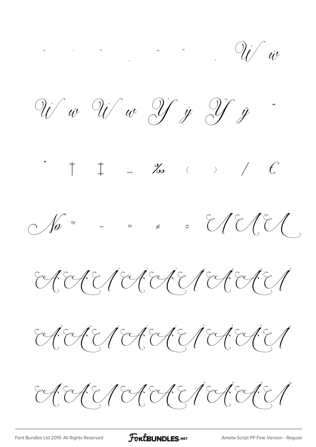*˘ ˙ ˚ ˛ ˜ ˝ ̦ Ẁ ẁ*

*Ẃ ẃ Ẅ ẅ Ỳ ỳ Ỹ ỹ "*

*" † ‡ … ‰ ‹ › ⁄ €*

*№ ™ − ≈ ≠ ◊*

ACACACACACACA

ACCICLESCICLES

ACCICACACICACICI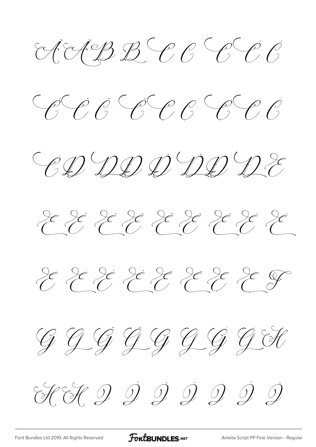ACABBCCCCC

CÉCECECECE

CDDDD DDD DE

![](_page_29_Picture_3.jpeg)

![](_page_29_Picture_4.jpeg)

![](_page_29_Picture_5.jpeg)

![](_page_29_Picture_6.jpeg)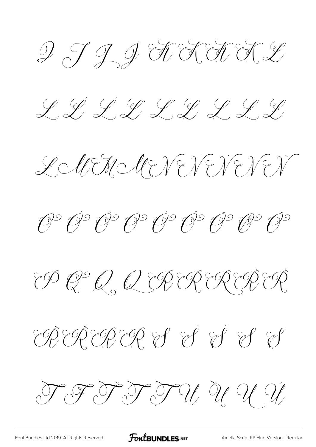I J J J H KAR

![](_page_30_Picture_1.jpeg)

LARMACNEVEVENT

 $\mathscr{O}^{\circ}\mathscr{\acute{O}}^{\circ}\mathscr{\mathscr{O}}^{\circ}\mathscr{\mathscr{O}}^{\circ}\mathscr{\mathscr{O}}^{\circ}\mathscr{\mathscr{O}}^{\circ}\mathscr{\mathscr{O}}^{\circ}\mathscr{\mathscr{O}}^{\circ}$ 

ED Q Q Q SP SP SP SP

HAAAA SiS

![](_page_30_Picture_6.jpeg)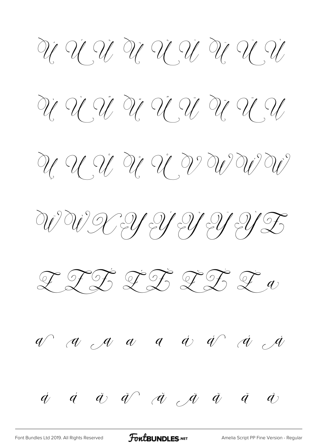Ve UN UN UN UN Ve U. V. V. U. U. U. U. U.  $\partial_{\ell} \partial_{\ell} \partial_{\ell} \partial_{\ell} \partial_{\ell} \partial_{\ell} \partial_{\ell} \partial_{\ell} \partial_{\ell} \partial_{\ell} \partial_{\ell} \partial_{\ell} \partial_{\ell} \partial_{\ell} \partial_{\ell} \partial_{\ell} \partial_{\ell} \partial_{\ell} \partial_{\ell} \partial_{\ell} \partial_{\ell} \partial_{\ell} \partial_{\ell} \partial_{\ell} \partial_{\ell} \partial_{\ell} \partial_{\ell} \partial_{\ell} \partial_{\ell} \partial_{\ell} \partial_{\ell} \partial_{\ell} \partial_{\ell} \partial_{\ell} \partial_{\ell} \partial_{\ell} \partial_{\$  $\mathcal{C}(\mathcal{U}) \cong \mathcal{C}(\mathcal{Y}) \cong \mathcal{Y}(\mathcal{Y}) \cong \mathcal{Y}(\mathcal{Y})$ LLÉ LE LE Le  $\begin{array}{ccccccccc} q & q & \mathcal{A} & \mathcal{A} & \mathcal{A} & \mathcal{A} & \mathcal{A} & \mathcal{A} & \mathcal{A} & \mathcal{A} & \mathcal{A} & \mathcal{A} & \mathcal{A} & \mathcal{A} & \mathcal{A} & \mathcal{A} & \mathcal{A} & \mathcal{A} & \mathcal{A} & \mathcal{A} & \mathcal{A} & \mathcal{A} & \mathcal{A} & \mathcal{A} & \mathcal{A} & \mathcal{A} & \mathcal{A} & \mathcal{A} & \mathcal{A} & \mathcal{A} & \mathcal{A} & \mathcal{$  $\vec{q}$   $\vec{q}$   $\vec{q}$   $\vec{q}$   $\vec{q}$   $\vec{q}$   $\vec{q}$   $\vec{q}$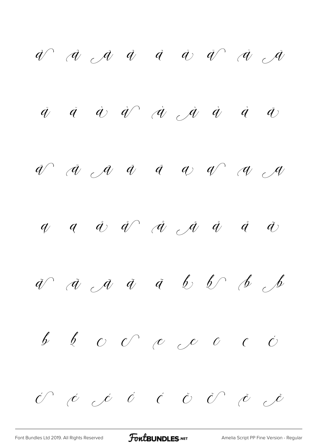$\vec{q}$   $\vec{q}$   $\vec{q}$   $\vec{q}$   $\vec{q}$   $\vec{q}$   $\vec{q}$   $\vec{q}$  $\dot{q}$   $\dot{q}$   $\dot{q}$   $\dot{q}$   $\dot{q}$   $\dot{q}$   $\dot{q}$   $\dot{q}$   $\dot{q}$  $\bar{q} \hat{\phantom{\alpha}}$   $\bar{q}$   $\bar{q}$   $\bar{q}$   $\bar{q}$   $\bar{q}$   $\bar{q}$   $\bar{q}$   $\bar{q}$   $\bar{q}$   $\bar{q}$  $q$   $\dot{q}$   $\dot{q}$   $\dot{q}$   $\dot{q}$   $\dot{q}$   $\dot{q}$   $\ddot{q}$   $\ddot{q}$  $\tilde{q}$   $\tilde{q}$   $\tilde{q}$   $\tilde{q}$   $\tilde{q}$   $\tilde{q}$   $\tilde{q}$   $\tilde{q}$   $\tilde{q}$   $\tilde{q}$  $b$   $c$   $c$   $c$   $c$   $c$   $c$   $c$   $c$  $\begin{array}{ccccccccccccc} \hat{C} & \hat{C} & \hat{C} & \hat{C} & \hat{C} & \hat{C} & \hat{C} & \hat{C} & \hat{C} & \hat{C} & \hat{C} & \hat{C} & \hat{C} & \hat{C} & \hat{C} & \hat{C} & \hat{C} & \hat{C} & \hat{C} & \hat{C} & \hat{C} & \hat{C} & \hat{C} & \hat{C} & \hat{C} & \hat{C} & \hat{C} & \hat{C} & \hat{C} & \hat{C} & \hat{C} & \hat{C} & \hat{C} & \hat{C} & \hat{C} &$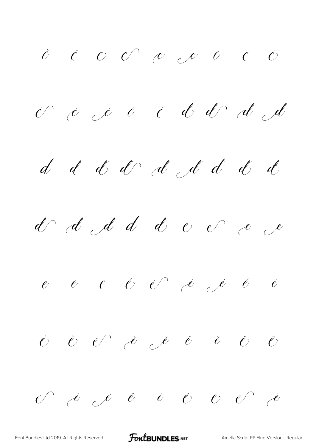$\check{\mathcal{C}}$   $\check{\mathcal{C}}$   $\mathcal{C}$   $\mathcal{C}$   $\mathcal{C}$   $\mathcal{C}$   $\mathcal{C}$   $\mathcal{C}$   $\mathcal{C}$  $\begin{array}{cccccccccc} \mathcal{O} & \mathcal{O} & \mathcal{O} & \mathcal{O} & \mathcal{O} & \mathcal{O} & \mathcal{O} & \mathcal{O} & \mathcal{O} & \mathcal{O} & \mathcal{O} & \mathcal{O} & \mathcal{O} & \mathcal{O} & \mathcal{O} & \mathcal{O} & \mathcal{O} & \mathcal{O} & \mathcal{O} & \mathcal{O} & \mathcal{O} & \mathcal{O} & \mathcal{O} & \mathcal{O} & \mathcal{O} & \mathcal{O} & \mathcal{O} & \mathcal{O} & \mathcal{O} & \mathcal{O} & \$  $d$  d d' d' d' d' d' d d d d d d  $e$  d  $e$  $e$   $e$   $e$   $\acute{o}$   $\acute{e}$   $\acute{e}$   $\acute{e}$   $\acute{e}$   $\acute{e}$   $\acute{e}$  $\begin{array}{ccccccccccccc} \acute{c} & \acute{c} & \acute{c} & \acute{c} & \acute{c} & \acute{c} & \acute{c} & \acute{c} & \acute{c} & \acute{c} & \acute{c} & \end{array}$  $\hat{e}$   $\hat{e}$   $\hat{e}$   $\hat{e}$   $\hat{e}$   $\hat{e}$   $\hat{e}$   $\hat{e}$   $\hat{e}$   $\hat{e}$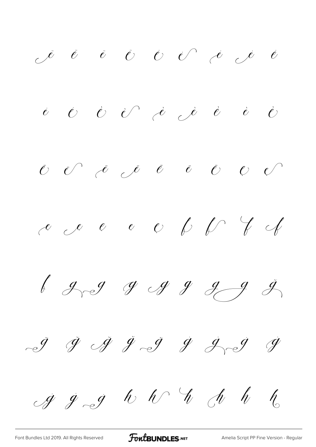$\overline{\mathscr{C}}$   $\overline{e}$   $\overline{e}$   $\overline{e}$   $\overline{e}$   $\overline{e}$   $\overline{e}$   $\overline{e}$   $\overline{e}$   $\overline{e}$  $\begin{array}{ccccccccccccc} \dot{e} & \dot{e} & \dot{e} & \dot{e} & \dot{e} & \dot{e} & \dot{e} & \dot{e} & \dot{e} & \dot{e} & \dot{e} & \dot{e} & \dot{e} & \dot{e} & \dot{e} & \dot{e} & \dot{e} & \dot{e} & \dot{e} & \dot{e} & \dot{e} & \dot{e} & \dot{e} & \dot{e} & \dot{e} & \dot{e} & \dot{e} & \dot{e} & \dot{e} & \dot{e} & \dot{e} & \dot{e} & \dot{e} & \dot{e} & \dot{e} &$  $\begin{array}{cccccccccccccc} \bar{\mathcal{O}} & \bar{\mathcal{O}} & \bar{\mathcal{O}} & \bar{\mathcal{O}} & \bar{\mathcal{O}} & \bar{\mathcal{O}} & \bar{\mathcal{O}} & \bar{\mathcal{O}} & \bar{\mathcal{O}} & \bar{\mathcal{O}} & \bar{\mathcal{O}} & \bar{\mathcal{O}} & \bar{\mathcal{O}} & \bar{\mathcal{O}} & \bar{\mathcal{O}} & \bar{\mathcal{O}} & \bar{\mathcal{O}} & \bar{\mathcal{O}} & \bar{\mathcal{O}} & \bar{\mathcal{O}} & \bar{\mathcal{O}} & \bar{\mathcal{O}} & \bar{\mathcal{O}} & \bar{\$ ce ce ce sbb y d & g g g g g g g  $\vec{g}$   $\ddot{g}$   $\ddot{g}$   $\ddot{g}$   $\ddot{g}$   $\ddot{g}$   $\ddot{g}$  $\mathscr{G}$   $\mathscr{G}$  and  $\mathscr{G}$  by  $\mathscr{G}$  by  $\mathscr{G}$  by  $\mathscr{G}$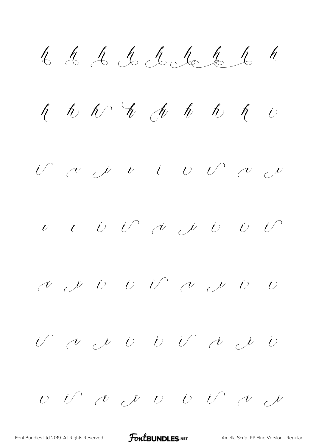$44444444444$  $h$   $h$   $h$   $h$   $dh$   $h$   $h$   $h$   $i$  $\begin{array}{ccccccccccccc} \nu & \alpha & \nu & \nu & \iota & \nu & \nu & \alpha & \nu \end{array}$  $\begin{array}{ccccccccccccc} \nu & \iota & \dot{\nu} & \dot{\nu} & \dot{\alpha} & \dot{\alpha} & \dot{\omega} & \dot{\omega} & \dot{\omega} & \dot{\omega} & \dot{\omega} & \dot{\omega} & \dot{\omega} & \dot{\omega} & \dot{\omega} & \dot{\omega} & \dot{\omega} & \dot{\omega} & \dot{\omega} & \dot{\omega} & \dot{\omega} & \dot{\omega} & \dot{\omega} & \dot{\omega} & \dot{\omega} & \dot{\omega} & \dot{\omega} & \dot{\omega} & \dot{\omega} & \dot{\omega} & \dot{\omega} & \dot{\omega} & \dot{\omega} & \dot{\omega} & \dot{\omega} & \dot{\omega}$  $\begin{array}{ccccccccccccc} \mathring{\nu} & \mathring{\nu} & \mathring{\nu} & \mathring{\nu} & \mathring{\nu} & \mathring{\nu} & \mathring{\nu} & \mathring{\nu} & \mathring{\nu} & \mathring{\nu} & \mathring{\nu} & \mathring{\nu} & \mathring{\nu} & \mathring{\nu} & \mathring{\nu} & \mathring{\nu} & \mathring{\nu} & \mathring{\nu} & \mathring{\nu} & \mathring{\nu} & \mathring{\nu} & \mathring{\nu} & \mathring{\nu} & \mathring{\nu} & \mathring{\nu} & \mathring{\nu} & \mathring{\nu} & \mathring{\nu} & \mathring{\nu} & \mathring{\nu} &$  $\begin{array}{ccccccccc} \nu & \alpha & \nu & \nu & \nu & \nu & \alpha & \nu & \nu \end{array}$  $U \begin{array}{ccccccccccccc} U & \overline{U} & \overline{U} & \overline{U} & \overline{U} & \overline{U} & \overline{U} & \overline{U} & \overline{U} & \overline{U} & \overline{U} & \overline{U} & \overline{U} & \overline{U} & \overline{U} & \overline{U} & \overline{U} & \overline{U} & \overline{U} & \overline{U} & \overline{U} & \overline{U} & \overline{U} & \overline{U} & \overline{U} & \overline{U} & \overline{U} & \overline{U} & \overline{U} & \overline{U} & \overline{$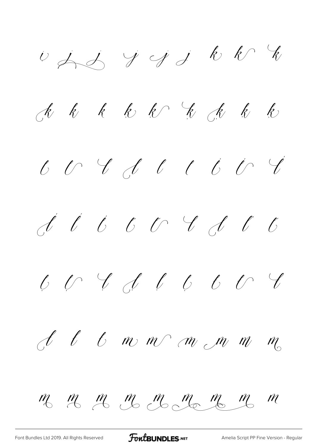$U \npreceq J \nsubseteq J \nsubseteq K$ & k k k k k k k J V G G U J J V G  $\begin{array}{cccccccccccccc} \ell & \ell & \ell & \ell & \ell & \ell & \ell & \ell & \ell \end{array}$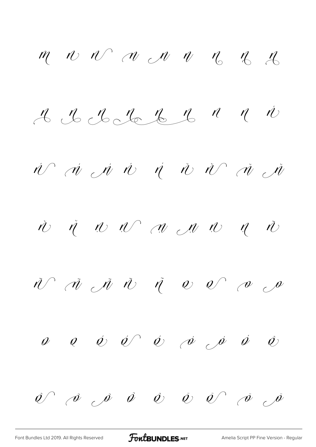$M \quad M \quad M \quad M \quad M \quad M \quad M \quad M \quad M$  Ń Ń Ń Ń Ń Ň Ň Ň Ň Ň Ň N N M N N N Ň  $\tilde{M}$   $\tilde{M}$   $\tilde{M}$   $\tilde{M}$   $\tilde{M}$   $Q$   $Q'$   $Q'$   $Q$  $\begin{array}{ccccccccccccc} \mathbf{0} & \mathbf{0} & \mathbf{0} & \mathbf{0} & \mathbf{0} & \mathbf{0} & \mathbf{0} & \mathbf{0} & \mathbf{0} & \mathbf{0} & \mathbf{0} & \mathbf{0} & \mathbf{0} & \mathbf{0} & \mathbf{0} & \mathbf{0} & \mathbf{0} & \mathbf{0} & \mathbf{0} & \mathbf{0} & \mathbf{0} & \mathbf{0} & \mathbf{0} & \mathbf{0} & \mathbf{0} & \mathbf{0} & \mathbf{0} & \mathbf{0} & \mathbf{0} & \mathbf{0} &$  $\hat{\varrho}$   $\hat{\varrho}$   $\hat{\varrho}$   $\hat{\varrho}$   $\hat{\varrho}$   $\hat{\varrho}$   $\hat{\varrho}$   $\hat{\varrho}$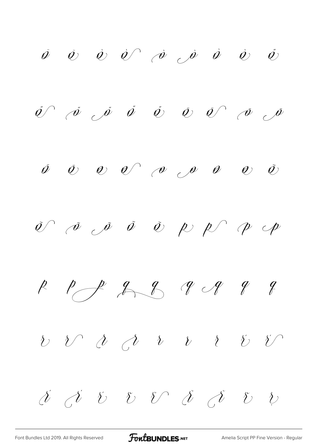$\dot{\theta}$   $\dot{\theta}$   $\dot{\theta}$   $\dot{\theta}$   $\dot{\theta}$   $\dot{\theta}$   $\dot{\theta}$   $\dot{\theta}$   $\dot{\theta}$  $\begin{array}{ccccccccc} \v{\phi} & \v{\phi} & \v{\phi} & \v{\phi} & \v{\phi} & \v{\phi} & \v{\phi} & \v{\phi} \end{array}$  $\overline{\theta}$   $\overline{\theta}$   $\overline{\theta}$   $\overline{\theta}$   $\overline{\theta}$   $\overline{\theta}$   $\overline{\theta}$   $\overline{\theta}$   $\overline{\theta}$  $\tilde{\varrho}$   $\tilde{\varrho}$   $\tilde{\varrho}$   $\tilde{\varrho}$   $\tilde{\varrho}$   $\rho$   $\rho$   $\rho$  $R$   $P$   $P$   $R$   $R$   $Q$   $Q$   $q$  $\begin{array}{ccccccccccccccccc} \mathcal{E} & \mathcal{E} & \mathcal{E} & \mathcal{E} & \mathcal{E} & \mathcal{E} & \mathcal{E} & \mathcal{E} & \mathcal{E} & \mathcal{E} & \mathcal{E} & \mathcal{E} & \mathcal{E} & \mathcal{E} & \mathcal{E} & \mathcal{E} & \mathcal{E} & \mathcal{E} & \mathcal{E} & \mathcal{E} & \mathcal{E} & \mathcal{E} & \mathcal{E} & \mathcal{E} & \mathcal{E} & \mathcal{E} & \mathcal{E} & \mathcal{E} & \mathcal{E} & \mathcal{E}$  $\overline{\mathscr{E}}\hspace{1mm}\overline{\mathscr{E}}\hspace{1mm}\overline{\mathscr{E}}\hspace{1mm}\overline{\mathscr{E}}\hspace{1mm}\overline{\mathscr{E}}\hspace{1mm}\overline{\mathscr{E}}\hspace{1mm}\overline{\mathscr{E}}\hspace{1mm}\overline{\mathscr{E}}\hspace{1mm}\overline{\mathscr{E}}\hspace{1mm}\overline{\mathscr{E}}\hspace{1mm}\overline{\mathscr{E}}$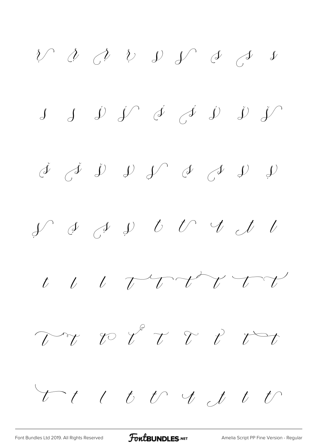$\begin{array}{ccccccccc} \mathcal{U} & \mathcal{U} & \mathcal{U} & \mathcal{U} & \mathcal{U} & \mathcal{U} & \mathcal{U} & \mathcal{U} & \mathcal{U} & \mathcal{U} & \mathcal{U} & \mathcal{U} & \mathcal{U} & \mathcal{U} & \mathcal{U} & \mathcal{U} & \mathcal{U} & \mathcal{U} & \mathcal{U} & \mathcal{U} & \mathcal{U} & \mathcal{U} & \mathcal{U} & \mathcal{U} & \mathcal{U} & \mathcal{U} & \mathcal{U} & \mathcal{U} & \mathcal{U} & \mathcal{U} & \$  $J\quad J\quad \acute{J}\quad \acute{J}\quad \acute{J}\quad \acute{J}\quad \acute{J}\quad \acute{J}\quad \acute{J}\quad \acute{J}\quad \acute{J}\quad \acute{J}\quad \acute{J}\quad \acute{J}\quad \acute{J}\quad \acute{J}\quad \acute{J}\quad \acute{J}\quad \acute{J}\quad \acute{J}\quad \acute{J}\quad \acute{J}\quad \acute{J}\quad \acute{J}\quad \acute{J}\quad \acute{J}\quad \acute{J}\quad \acute{J}\quad \acute{J}\quad \acute{J}\quad \acute{J}\quad \acute{J}\quad \acute{J}\quad \acute{J}\quad \acute{J}\quad \acute{J}\quad \acute{J}\quad \acute{J$  $\check{\mathcal{J}}$   $\check{\mathcal{J}}$   $\check{\mathcal{J}}$   $\mathcal{J}$   $\mathcal{J}$   $\mathcal{J}$   $\mathcal{J}$   $\mathcal{J}$   $\mathcal{J}$  $f$  &  $f$   $f$   $f$   $f$   $f$  $t$   $t$   $t$   $\mathcal{T}$   $\mathcal{T}$   $\mathcal{T}$   $\mathcal{T}$   $\mathcal{T}$ Trouver to the top of the top of the top of the top of the top of the top of the top of the top of the top of the top of the top of the top of the top of the top of the top of the top of the top of the top of the top of th  $\forall t \in t \quad t \quad t \quad t \quad t$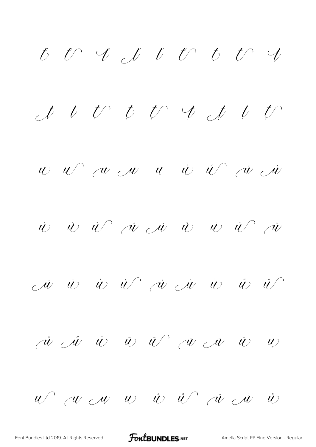ひひ も ま じ ひ む ひ す I l t b t d d l t w w w w u w iv a in ji ji ji ji ji ji ji  $\ddot{a}$   $\ddot{a}$   $\ddot{a}$   $\ddot{a}$   $\ddot{a}$   $\ddot{a}$   $\ddot{a}$   $\ddot{a}$   $\ddot{a}$   $\ddot{a}$ u av av is is à de si is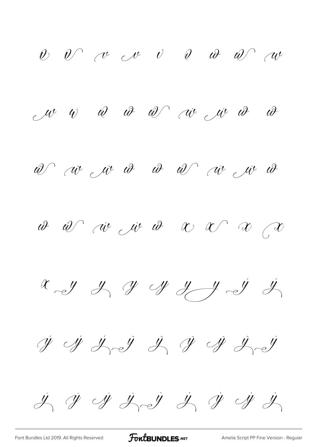$\begin{matrix} 0 & 0 \end{matrix}$  a co  $\begin{matrix} 0 & 0 \end{matrix}$  a co  $\begin{matrix} 0 & 0 \end{matrix}$  at  $\begin{matrix} 0 & 0 \end{matrix}$  $\mathcal{A}$   $\mathcal{A}$   $\mathcal{A}$   $\mathcal{A}$   $\mathcal{A}$   $\mathcal{A}$   $\mathcal{A}$   $\mathcal{A}$   $\mathcal{A}$   $\mathcal{A}$   $\mathcal{A}$ or ar ar ar ar ar ar ar ar ar  $\omega$   $\omega$   $\sim$   $\omega$   $\omega$   $\infty$   $\infty$   $\infty$ x J J J J J J J  $\dot{\mathscr{Y}}$   $\dot{\mathscr{Y}}$   $\dot{\mathscr{Y}}$   $\dot{\mathscr{Y}}$   $\dot{\mathscr{Y}}$   $\dot{\mathscr{Y}}$   $\dot{\mathscr{Y}}$   $\dot{\mathscr{Y}}$  $\ddot{\mathscr{J}}$  if  $\ddot{\mathscr{J}}$  if  $\ddot{\mathscr{J}}$  if  $\ddot{\mathscr{J}}$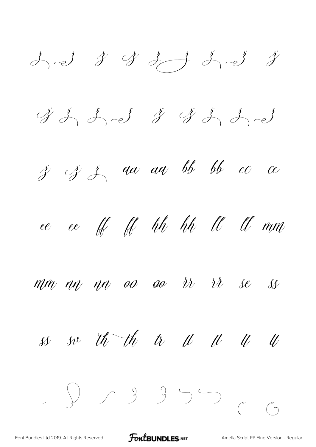$33337338$   $3$   $3$   $3$  aa aa bb bb cc cc ee ee ff ff hh hh ll ll mm  $m m$   $n n$   $n v$  as so  $m$   $m$  se ss ss sv th th tr tt U tt U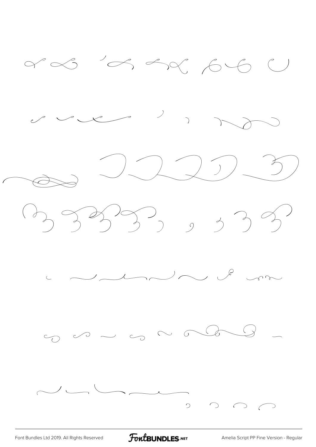![](_page_43_Figure_0.jpeg)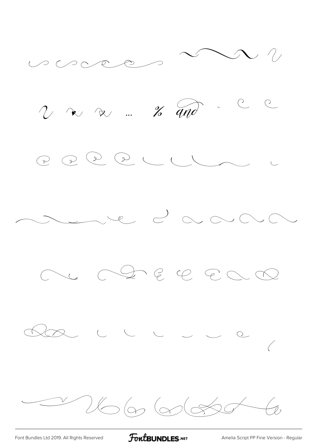![](_page_44_Figure_0.jpeg)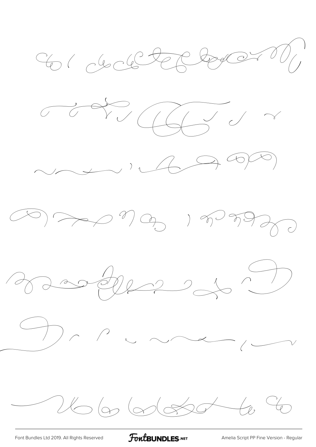![](_page_45_Figure_0.jpeg)